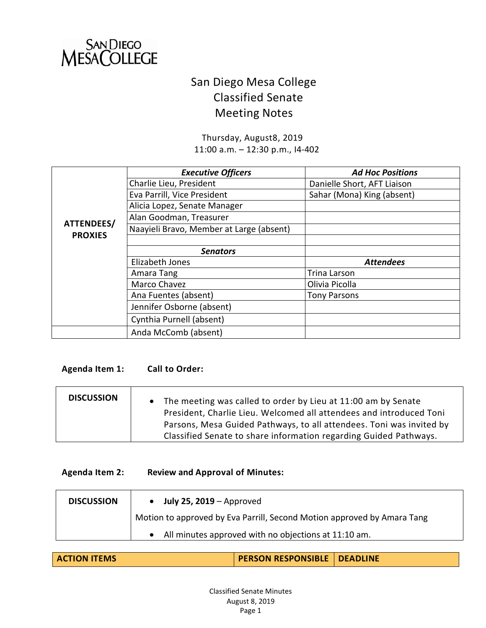

# San Diego Mesa College Classified Senate Meeting Notes

Thursday, August8, 2019 11:00 a.m. – 12:30 p.m., I4-402

|                | <b>Executive Officers</b>                | <b>Ad Hoc Positions</b>     |
|----------------|------------------------------------------|-----------------------------|
|                | Charlie Lieu, President                  | Danielle Short, AFT Liaison |
|                | Eva Parrill, Vice President              | Sahar (Mona) King (absent)  |
|                | Alicia Lopez, Senate Manager             |                             |
|                | Alan Goodman, Treasurer                  |                             |
| ATTENDEES/     | Naayieli Bravo, Member at Large (absent) |                             |
| <b>PROXIES</b> |                                          |                             |
|                | <b>Senators</b>                          |                             |
|                | Elizabeth Jones                          | <b>Attendees</b>            |
|                | Amara Tang                               | <b>Trina Larson</b>         |
|                | Marco Chavez                             | Olivia Picolla              |
|                | Ana Fuentes (absent)                     | <b>Tony Parsons</b>         |
|                | Jennifer Osborne (absent)                |                             |
|                | Cynthia Purnell (absent)                 |                             |
|                | Anda McComb (absent)                     |                             |

#### **Agenda Item 1: Call to Order:**

| <b>DISCUSSION</b> | • The meeting was called to order by Lieu at 11:00 am by Senate<br>President, Charlie Lieu. Welcomed all attendees and introduced Toni    |
|-------------------|-------------------------------------------------------------------------------------------------------------------------------------------|
|                   | Parsons, Mesa Guided Pathways, to all attendees. Toni was invited by<br>Classified Senate to share information regarding Guided Pathways. |

## **Agenda Item 2: Review and Approval of Minutes:**

| <b>DISCUSSION</b> | $\bullet$ July 25, 2019 – Approved                                      |
|-------------------|-------------------------------------------------------------------------|
|                   | Motion to approved by Eva Parrill, Second Motion approved by Amara Tang |
|                   | • All minutes approved with no objections at 11:10 am.                  |

| <b>ACTION ITEMS</b> | <b>PERSON RESPONSIBLE   DEADLINE</b> |  |
|---------------------|--------------------------------------|--|
|                     |                                      |  |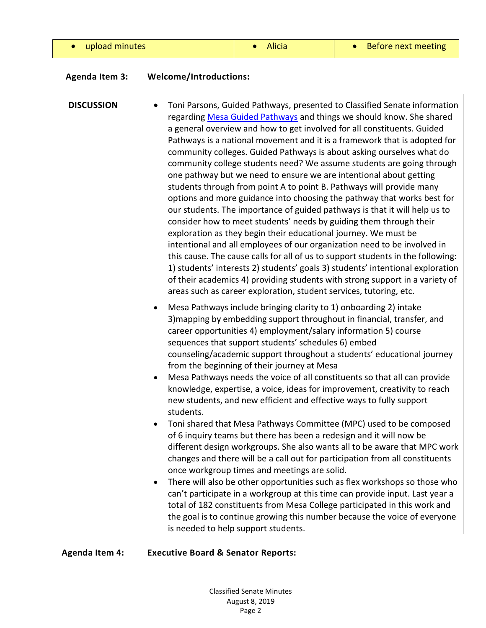| upload minutes |  |  |  |  |  |  |  |
|----------------|--|--|--|--|--|--|--|
|----------------|--|--|--|--|--|--|--|

• Alicia  $\vert \cdot \vert$  • Before next meeting

| <b>Agenda Item 3:</b> | <b>Welcome/Introductions:</b> |
|-----------------------|-------------------------------|
|-----------------------|-------------------------------|

| <b>DISCUSSION</b> | Toni Parsons, Guided Pathways, presented to Classified Senate information<br>regarding Mesa Guided Pathways and things we should know. She shared<br>a general overview and how to get involved for all constituents. Guided<br>Pathways is a national movement and it is a framework that is adopted for<br>community colleges. Guided Pathways is about asking ourselves what do<br>community college students need? We assume students are going through<br>one pathway but we need to ensure we are intentional about getting<br>students through from point A to point B. Pathways will provide many<br>options and more guidance into choosing the pathway that works best for<br>our students. The importance of guided pathways is that it will help us to<br>consider how to meet students' needs by guiding them through their<br>exploration as they begin their educational journey. We must be<br>intentional and all employees of our organization need to be involved in<br>this cause. The cause calls for all of us to support students in the following:<br>1) students' interests 2) students' goals 3) students' intentional exploration<br>of their academics 4) providing students with strong support in a variety of<br>areas such as career exploration, student services, tutoring, etc. |
|-------------------|--------------------------------------------------------------------------------------------------------------------------------------------------------------------------------------------------------------------------------------------------------------------------------------------------------------------------------------------------------------------------------------------------------------------------------------------------------------------------------------------------------------------------------------------------------------------------------------------------------------------------------------------------------------------------------------------------------------------------------------------------------------------------------------------------------------------------------------------------------------------------------------------------------------------------------------------------------------------------------------------------------------------------------------------------------------------------------------------------------------------------------------------------------------------------------------------------------------------------------------------------------------------------------------------------------------------|
|                   | Mesa Pathways include bringing clarity to 1) onboarding 2) intake<br>٠<br>3) mapping by embedding support throughout in financial, transfer, and<br>career opportunities 4) employment/salary information 5) course<br>sequences that support students' schedules 6) embed<br>counseling/academic support throughout a students' educational journey<br>from the beginning of their journey at Mesa<br>Mesa Pathways needs the voice of all constituents so that all can provide<br>knowledge, expertise, a voice, ideas for improvement, creativity to reach<br>new students, and new efficient and effective ways to fully support<br>students.                                                                                                                                                                                                                                                                                                                                                                                                                                                                                                                                                                                                                                                                  |
|                   | Toni shared that Mesa Pathways Committee (MPC) used to be composed<br>of 6 inquiry teams but there has been a redesign and it will now be<br>different design workgroups. She also wants all to be aware that MPC work<br>changes and there will be a call out for participation from all constituents<br>once workgroup times and meetings are solid.<br>There will also be other opportunities such as flex workshops so those who<br>can't participate in a workgroup at this time can provide input. Last year a<br>total of 182 constituents from Mesa College participated in this work and<br>the goal is to continue growing this number because the voice of everyone                                                                                                                                                                                                                                                                                                                                                                                                                                                                                                                                                                                                                                     |
|                   | is needed to help support students.                                                                                                                                                                                                                                                                                                                                                                                                                                                                                                                                                                                                                                                                                                                                                                                                                                                                                                                                                                                                                                                                                                                                                                                                                                                                                |

**Agenda Item 4: Executive Board & Senator Reports:**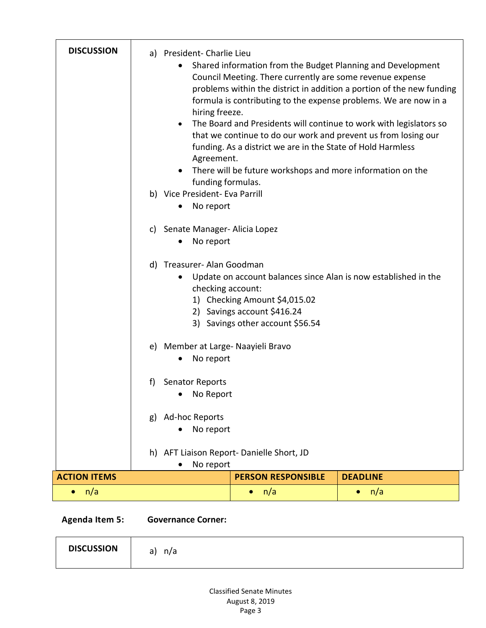| <b>DISCUSSION</b>   |    | a) President- Charlie Lieu<br>hiring freeze.<br>$\bullet$<br>Agreement.<br>funding formulas.<br>b) Vice President- Eva Parrill<br>No report<br>c) Senate Manager- Alicia Lopez<br>No report<br>d) Treasurer- Alan Goodman<br>checking account: | Council Meeting. There currently are some revenue expense<br>funding. As a district we are in the State of Hold Harmless<br>There will be future workshops and more information on the<br>1) Checking Amount \$4,015.02<br>2) Savings account \$416.24 | Shared information from the Budget Planning and Development<br>problems within the district in addition a portion of the new funding<br>formula is contributing to the expense problems. We are now in a<br>The Board and Presidents will continue to work with legislators so<br>that we continue to do our work and prevent us from losing our<br>Update on account balances since Alan is now established in the |
|---------------------|----|------------------------------------------------------------------------------------------------------------------------------------------------------------------------------------------------------------------------------------------------|--------------------------------------------------------------------------------------------------------------------------------------------------------------------------------------------------------------------------------------------------------|---------------------------------------------------------------------------------------------------------------------------------------------------------------------------------------------------------------------------------------------------------------------------------------------------------------------------------------------------------------------------------------------------------------------|
|                     |    | e) Member at Large- Naayieli Bravo<br>No report                                                                                                                                                                                                | 3) Savings other account \$56.54                                                                                                                                                                                                                       |                                                                                                                                                                                                                                                                                                                                                                                                                     |
|                     | f) | <b>Senator Reports</b><br>No Report                                                                                                                                                                                                            |                                                                                                                                                                                                                                                        |                                                                                                                                                                                                                                                                                                                                                                                                                     |
|                     | g) | Ad-hoc Reports<br>No report                                                                                                                                                                                                                    |                                                                                                                                                                                                                                                        |                                                                                                                                                                                                                                                                                                                                                                                                                     |
|                     |    | No report                                                                                                                                                                                                                                      | h) AFT Liaison Report-Danielle Short, JD                                                                                                                                                                                                               |                                                                                                                                                                                                                                                                                                                                                                                                                     |
| <b>ACTION ITEMS</b> |    |                                                                                                                                                                                                                                                | <b>PERSON RESPONSIBLE</b>                                                                                                                                                                                                                              | <b>DEADLINE</b>                                                                                                                                                                                                                                                                                                                                                                                                     |
| n/a<br>$\bullet$    |    |                                                                                                                                                                                                                                                | n/a<br>$\bullet$                                                                                                                                                                                                                                       | n/a<br>$\bullet$                                                                                                                                                                                                                                                                                                                                                                                                    |

**Agenda Item 5: Governance Corner:**

| <b>DISCUSSION</b> | n/a<br>∽<br>a, |  |  |
|-------------------|----------------|--|--|
|-------------------|----------------|--|--|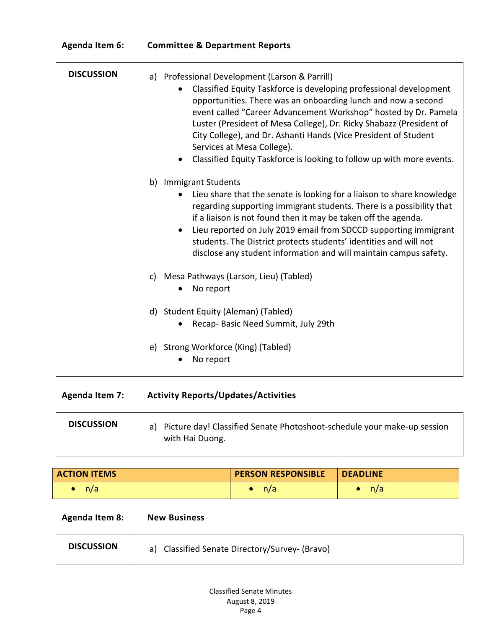| <b>Agenda Item 6:</b> | <b>Committee &amp; Department Reports</b> |
|-----------------------|-------------------------------------------|
|-----------------------|-------------------------------------------|

| <b>DISCUSSION</b> | a) Professional Development (Larson & Parrill)<br>Classified Equity Taskforce is developing professional development<br>opportunities. There was an onboarding lunch and now a second<br>event called "Career Advancement Workshop" hosted by Dr. Pamela<br>Luster (President of Mesa College), Dr. Ricky Shabazz (President of<br>City College), and Dr. Ashanti Hands (Vice President of Student<br>Services at Mesa College).<br>Classified Equity Taskforce is looking to follow up with more events. |
|-------------------|-----------------------------------------------------------------------------------------------------------------------------------------------------------------------------------------------------------------------------------------------------------------------------------------------------------------------------------------------------------------------------------------------------------------------------------------------------------------------------------------------------------|
|                   | b) Immigrant Students<br>Lieu share that the senate is looking for a liaison to share knowledge<br>regarding supporting immigrant students. There is a possibility that<br>if a liaison is not found then it may be taken off the agenda.<br>Lieu reported on July 2019 email from SDCCD supporting immigrant<br>$\bullet$<br>students. The District protects students' identities and will not<br>disclose any student information and will maintain campus safety.                                      |
|                   | c) Mesa Pathways (Larson, Lieu) (Tabled)<br>No report                                                                                                                                                                                                                                                                                                                                                                                                                                                     |
|                   | d) Student Equity (Aleman) (Tabled)<br>Recap-Basic Need Summit, July 29th                                                                                                                                                                                                                                                                                                                                                                                                                                 |
|                   | e) Strong Workforce (King) (Tabled)<br>No report                                                                                                                                                                                                                                                                                                                                                                                                                                                          |

**Agenda Item 7: Activity Reports/Updates/Activities**

| <b>DISCUSSION</b> | a) Picture day! Classified Senate Photoshoot-schedule your make-up session |
|-------------------|----------------------------------------------------------------------------|
|                   | with Hai Duong.                                                            |

| <b>ACTION ITEMS</b> | <b>PERSON RESPONSIBLE</b> | <b>DEADLINE</b> |
|---------------------|---------------------------|-----------------|
| n/a                 | n/a                       | n/a             |

**Agenda Item 8: New Business**

| <b>DISCUSSION</b> | a) Classified Senate Directory/Survey- (Bravo) |
|-------------------|------------------------------------------------|
|                   |                                                |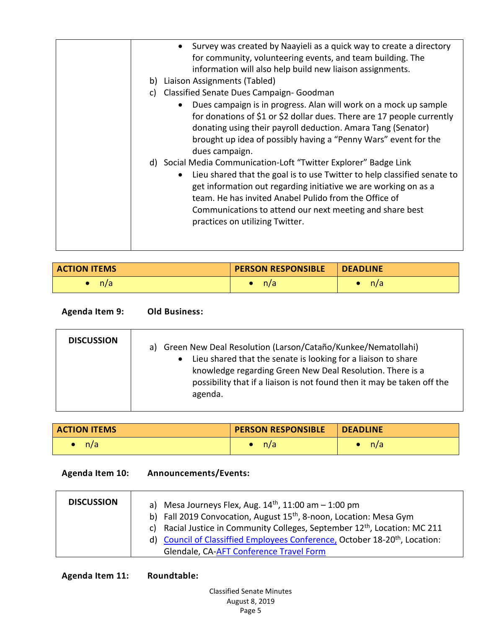| • Survey was created by Naayieli as a quick way to create a directory<br>for community, volunteering events, and team building. The<br>information will also help build new liaison assignments.<br>b) Liaison Assignments (Tabled)<br>Classified Senate Dues Campaign- Goodman<br>C)<br>Dues campaign is in progress. Alan will work on a mock up sample<br>for donations of \$1 or \$2 dollar dues. There are 17 people currently<br>donating using their payroll deduction. Amara Tang (Senator)<br>brought up idea of possibly having a "Penny Wars" event for the<br>dues campaign.<br>d) Social Media Communication-Loft "Twitter Explorer" Badge Link<br>Lieu shared that the goal is to use Twitter to help classified senate to<br>get information out regarding initiative we are working on as a<br>team. He has invited Anabel Pulido from the Office of<br>Communications to attend our next meeting and share best<br>practices on utilizing Twitter. |
|---------------------------------------------------------------------------------------------------------------------------------------------------------------------------------------------------------------------------------------------------------------------------------------------------------------------------------------------------------------------------------------------------------------------------------------------------------------------------------------------------------------------------------------------------------------------------------------------------------------------------------------------------------------------------------------------------------------------------------------------------------------------------------------------------------------------------------------------------------------------------------------------------------------------------------------------------------------------|
|                                                                                                                                                                                                                                                                                                                                                                                                                                                                                                                                                                                                                                                                                                                                                                                                                                                                                                                                                                     |
|                                                                                                                                                                                                                                                                                                                                                                                                                                                                                                                                                                                                                                                                                                                                                                                                                                                                                                                                                                     |

| <b>ACTION ITEMS</b> | <b>PERSON RESPONSIBLE</b> | <b>DEADLINE</b> |
|---------------------|---------------------------|-----------------|
| n/a                 | n/a                       | n/a             |

**Agenda Item 9: Old Business:**

| Lieu shared that the senate is looking for a liaison to share<br>knowledge regarding Green New Deal Resolution. There is a<br>agenda. | <b>DISCUSSION</b> | a) Green New Deal Resolution (Larson/Cataño/Kunkee/Nematollahi)<br>possibility that if a liaison is not found then it may be taken off the |
|---------------------------------------------------------------------------------------------------------------------------------------|-------------------|--------------------------------------------------------------------------------------------------------------------------------------------|
|---------------------------------------------------------------------------------------------------------------------------------------|-------------------|--------------------------------------------------------------------------------------------------------------------------------------------|

| <b>ACTION ITEMS</b> | <b>PERSON RESPONSIBLE</b> | <b>DEADLINE</b> |
|---------------------|---------------------------|-----------------|
| n/a                 | n/a                       | n/a             |

| <b>Agenda Item 10:</b> | Announcements/Events: |
|------------------------|-----------------------|
|------------------------|-----------------------|

| <b>DISCUSSION</b> | a) Mesa Journeys Flex, Aug. $14th$ , 11:00 am $-1:00$ pm<br>b) Fall 2019 Convocation, August 15 <sup>th</sup> , 8-noon, Location: Mesa Gym                                        |
|-------------------|-----------------------------------------------------------------------------------------------------------------------------------------------------------------------------------|
|                   | c) Racial Justice in Community Colleges, September 12 <sup>th</sup> , Location: MC 211<br>d) Council of Classiffied Employees Conference, October 18-20 <sup>th</sup> , Location: |
|                   | Glendale, CA-AFT Conference Travel Form                                                                                                                                           |

**Agenda Item 11: Roundtable:**